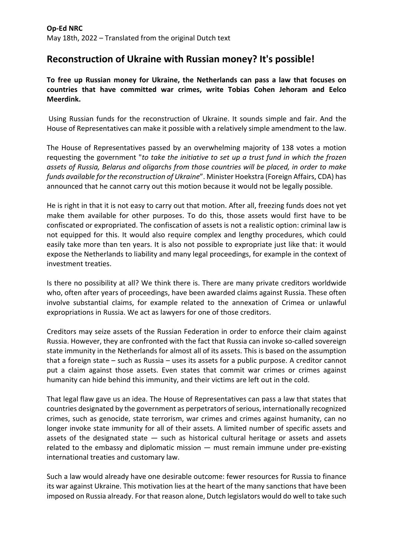## **Reconstruction of Ukraine with Russian money? It's possible!**

**To free up Russian money for Ukraine, the Netherlands can pass a law that focuses on countries that have committed war crimes, write Tobias Cohen Jehoram and Eelco Meerdink.**

Using Russian funds for the reconstruction of Ukraine. It sounds simple and fair. And the House of Representatives can make it possible with a relatively simple amendment to the law.

The House of Representatives passed by an overwhelming majority of 138 votes a motion requesting the government "*to take the initiative to set up a trust fund in which the frozen assets of Russia, Belarus and oligarchs from those countries will be placed, in order to make funds available for the reconstruction of Ukraine*". Minister Hoekstra (Foreign Affairs, CDA) has announced that he cannot carry out this motion because it would not be legally possible.

He is right in that it is not easy to carry out that motion. After all, freezing funds does not yet make them available for other purposes. To do this, those assets would first have to be confiscated or expropriated. The confiscation of assets is not a realistic option: criminal law is not equipped for this. It would also require complex and lengthy procedures, which could easily take more than ten years. It is also not possible to expropriate just like that: it would expose the Netherlands to liability and many legal proceedings, for example in the context of investment treaties.

Is there no possibility at all? We think there is. There are many private creditors worldwide who, often after years of proceedings, have been awarded claims against Russia. These often involve substantial claims, for example related to the annexation of Crimea or unlawful expropriations in Russia. We act as lawyers for one of those creditors.

Creditors may seize assets of the Russian Federation in order to enforce their claim against Russia. However, they are confronted with the fact that Russia can invoke so-called sovereign state immunity in the Netherlands for almost all of its assets. This is based on the assumption that a foreign state – such as Russia – uses its assets for a public purpose. A creditor cannot put a claim against those assets. Even states that commit war crimes or crimes against humanity can hide behind this immunity, and their victims are left out in the cold.

That legal flaw gave us an idea. The House of Representatives can pass a law that states that countries designated by the government as perpetrators of serious, internationally recognized crimes, such as genocide, state terrorism, war crimes and crimes against humanity, can no longer invoke state immunity for all of their assets. A limited number of specific assets and assets of the designated state  $-$  such as historical cultural heritage or assets and assets related to the embassy and diplomatic mission — must remain immune under pre-existing international treaties and customary law.

Such a law would already have one desirable outcome: fewer resources for Russia to finance its war against Ukraine. This motivation lies at the heart of the many sanctions that have been imposed on Russia already. For that reason alone, Dutch legislators would do well to take such